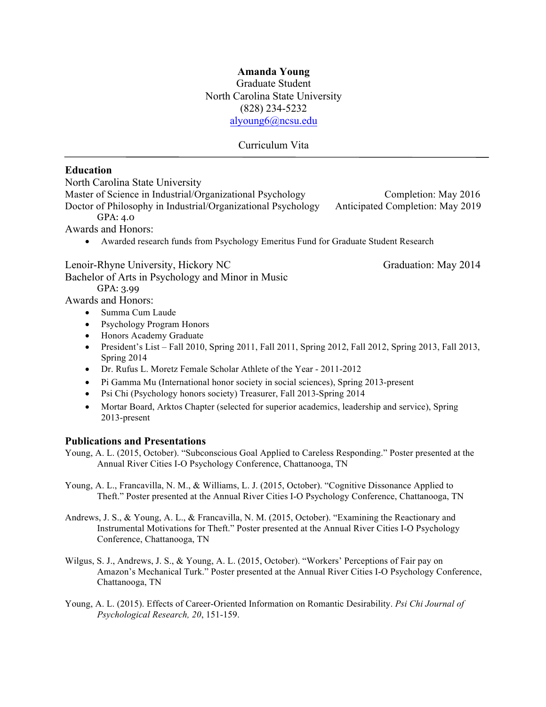### **Amanda Young**

Graduate Student North Carolina State University (828) 234-5232 alyoung6@ncsu.edu

#### Curriculum Vita

#### **Education**

North Carolina State University

Master of Science in Industrial/Organizational Psychology Completion: May 2016 Doctor of Philosophy in Industrial/Organizational Psychology Anticipated Completion: May 2019 GPA: 4.0

Awards and Honors:

• Awarded research funds from Psychology Emeritus Fund for Graduate Student Research

Lenoir-Rhyne University, Hickory NC Graduation: May 2014

Bachelor of Arts in Psychology and Minor in Music GPA: 3.99

Awards and Honors:

- Summa Cum Laude
- Psychology Program Honors
- Honors Academy Graduate
- President's List Fall 2010, Spring 2011, Fall 2011, Spring 2012, Fall 2012, Spring 2013, Fall 2013, Spring 2014
- Dr. Rufus L. Moretz Female Scholar Athlete of the Year 2011-2012
- Pi Gamma Mu (International honor society in social sciences), Spring 2013-present
- Psi Chi (Psychology honors society) Treasurer, Fall 2013-Spring 2014
- Mortar Board, Arktos Chapter (selected for superior academics, leadership and service), Spring 2013-present

#### **Publications and Presentations**

- Young, A. L. (2015, October). "Subconscious Goal Applied to Careless Responding." Poster presented at the Annual River Cities I-O Psychology Conference, Chattanooga, TN
- Young, A. L., Francavilla, N. M., & Williams, L. J. (2015, October). "Cognitive Dissonance Applied to Theft." Poster presented at the Annual River Cities I-O Psychology Conference, Chattanooga, TN
- Andrews, J. S., & Young, A. L., & Francavilla, N. M. (2015, October). "Examining the Reactionary and Instrumental Motivations for Theft." Poster presented at the Annual River Cities I-O Psychology Conference, Chattanooga, TN
- Wilgus, S. J., Andrews, J. S., & Young, A. L. (2015, October). "Workers' Perceptions of Fair pay on Amazon's Mechanical Turk." Poster presented at the Annual River Cities I-O Psychology Conference, Chattanooga, TN
- Young, A. L. (2015). Effects of Career-Oriented Information on Romantic Desirability. *Psi Chi Journal of Psychological Research, 20*, 151-159.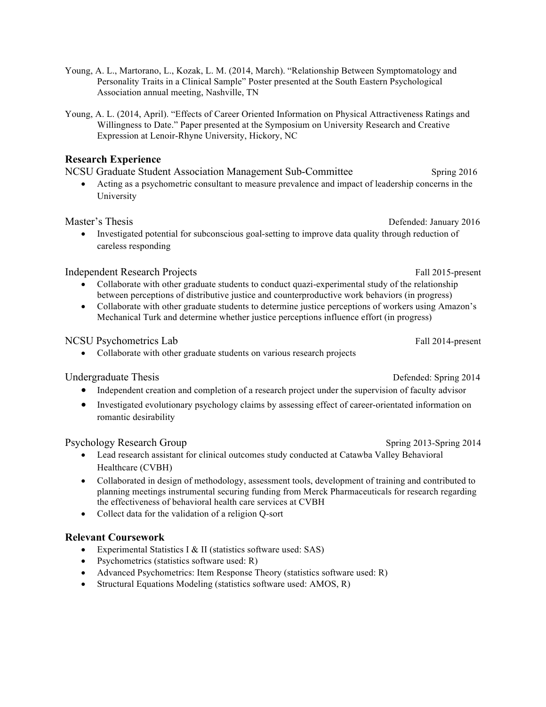- Young, A. L., Martorano, L., Kozak, L. M. (2014, March). "Relationship Between Symptomatology and Personality Traits in a Clinical Sample" Poster presented at the South Eastern Psychological Association annual meeting, Nashville, TN
- Young, A. L. (2014, April). "Effects of Career Oriented Information on Physical Attractiveness Ratings and Willingness to Date." Paper presented at the Symposium on University Research and Creative Expression at Lenoir-Rhyne University, Hickory, NC

#### **Research Experience**

|  |  | NCSU Graduate Student Association Management Sub-Committee |  |  | Spring 2016 |  |
|--|--|------------------------------------------------------------|--|--|-------------|--|
|  |  |                                                            |  |  |             |  |

• Acting as a psychometric consultant to measure prevalence and impact of leadership concerns in the University

Master's Thesis **Defended:** January 2016

• Investigated potential for subconscious goal-setting to improve data quality through reduction of careless responding

### Independent Research Projects Fall 2015-present

- Collaborate with other graduate students to conduct quazi-experimental study of the relationship between perceptions of distributive justice and counterproductive work behaviors (in progress)
- Collaborate with other graduate students to determine justice perceptions of workers using Amazon's Mechanical Turk and determine whether justice perceptions influence effort (in progress)

## NCSU Psychometrics Lab Fall 2014-present

• Collaborate with other graduate students on various research projects

## Undergraduate Thesis Defended: Spring 2014

- Independent creation and completion of a research project under the supervision of faculty advisor
- Investigated evolutionary psychology claims by assessing effect of career-orientated information on romantic desirability

## Psychology Research Group Spring 2013-Spring 2014

- Lead research assistant for clinical outcomes study conducted at Catawba Valley Behavioral Healthcare (CVBH)
- Collaborated in design of methodology, assessment tools, development of training and contributed to planning meetings instrumental securing funding from Merck Pharmaceuticals for research regarding the effectiveness of behavioral health care services at CVBH
- Collect data for the validation of a religion Q-sort

## **Relevant Coursework**

- Experimental Statistics I & II (statistics software used: SAS)
- Psychometrics (statistics software used: R)
- Advanced Psychometrics: Item Response Theory (statistics software used: R)
- Structural Equations Modeling (statistics software used: AMOS, R)